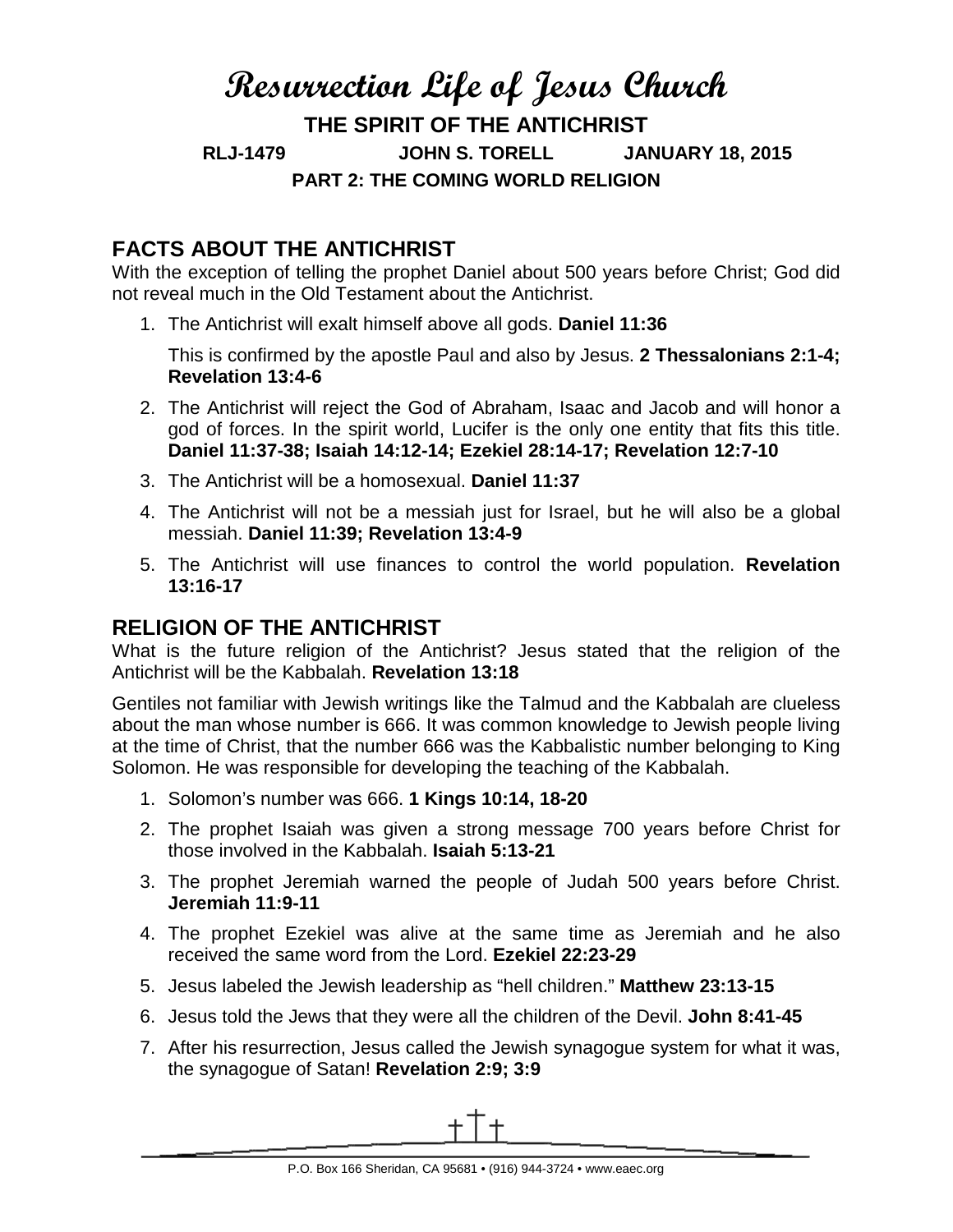# **Resurrection Life of Jesus Church**

**THE SPIRIT OF THE ANTICHRIST**

**RLJ-1479 JOHN S. TORELL JANUARY 18, 2015**

**PART 2: THE COMING WORLD RELIGION**

# **FACTS ABOUT THE ANTICHRIST**

With the exception of telling the prophet Daniel about 500 years before Christ; God did not reveal much in the Old Testament about the Antichrist.

1. The Antichrist will exalt himself above all gods. **Daniel 11:36**

This is confirmed by the apostle Paul and also by Jesus. **2 Thessalonians 2:1-4; Revelation 13:4-6**

- 2. The Antichrist will reject the God of Abraham, Isaac and Jacob and will honor a god of forces. In the spirit world, Lucifer is the only one entity that fits this title. **Daniel 11:37-38; Isaiah 14:12-14; Ezekiel 28:14-17; Revelation 12:7-10**
- 3. The Antichrist will be a homosexual. **Daniel 11:37**
- 4. The Antichrist will not be a messiah just for Israel, but he will also be a global messiah. **Daniel 11:39; Revelation 13:4-9**
- 5. The Antichrist will use finances to control the world population. **Revelation 13:16-17**

## **RELIGION OF THE ANTICHRIST**

What is the future religion of the Antichrist? Jesus stated that the religion of the Antichrist will be the Kabbalah. **Revelation 13:18**

Gentiles not familiar with Jewish writings like the Talmud and the Kabbalah are clueless about the man whose number is 666. It was common knowledge to Jewish people living at the time of Christ, that the number 666 was the Kabbalistic number belonging to King Solomon. He was responsible for developing the teaching of the Kabbalah.

- 1. Solomon's number was 666. **1 Kings 10:14, 18-20**
- 2. The prophet Isaiah was given a strong message 700 years before Christ for those involved in the Kabbalah. **Isaiah 5:13-21**
- 3. The prophet Jeremiah warned the people of Judah 500 years before Christ. **Jeremiah 11:9-11**
- 4. The prophet Ezekiel was alive at the same time as Jeremiah and he also received the same word from the Lord. **Ezekiel 22:23-29**
- 5. Jesus labeled the Jewish leadership as "hell children." **Matthew 23:13-15**
- 6. Jesus told the Jews that they were all the children of the Devil. **John 8:41-45**
- 7. After his resurrection, Jesus called the Jewish synagogue system for what it was, the synagogue of Satan! **Revelation 2:9; 3:9**